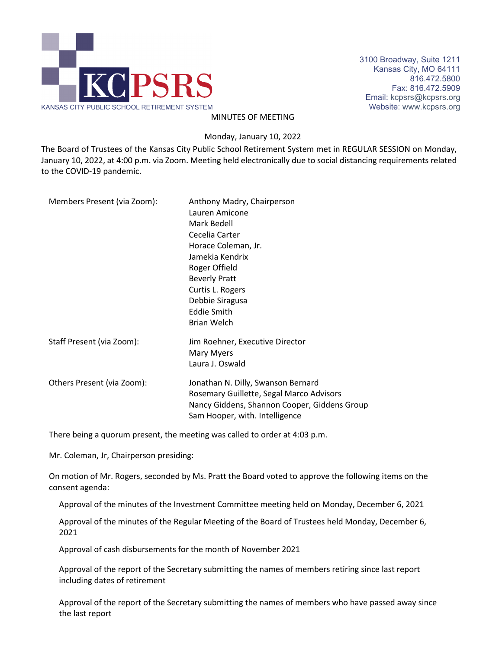

3100 Broadway, Suite 1211 Kansas City, MO 64111 816.472.5800 Fax: 816.472.5909 Email: kcpsrs@kcpsrs.org

MINUTES OF MEETING

Monday, January 10, 2022

The Board of Trustees of the Kansas City Public School Retirement System met in REGULAR SESSION on Monday, January 10, 2022, at 4:00 p.m. via Zoom. Meeting held electronically due to social distancing requirements related to the COVID-19 pandemic.

| Members Present (via Zoom): | Anthony Madry, Chairperson<br>Lauren Amicone<br>Mark Bedell<br>Cecelia Carter<br>Horace Coleman, Jr.<br>Jamekia Kendrix<br>Roger Offield<br><b>Beverly Pratt</b><br>Curtis L. Rogers<br>Debbie Siragusa<br>Eddie Smith<br>Brian Welch |
|-----------------------------|---------------------------------------------------------------------------------------------------------------------------------------------------------------------------------------------------------------------------------------|
| Staff Present (via Zoom):   | Jim Roehner, Executive Director<br>Mary Myers<br>Laura J. Oswald                                                                                                                                                                      |
| Others Present (via Zoom):  | Jonathan N. Dilly, Swanson Bernard<br>Rosemary Guillette, Segal Marco Advisors<br>Nancy Giddens, Shannon Cooper, Giddens Group<br>Sam Hooper, with. Intelligence                                                                      |

There being a quorum present, the meeting was called to order at 4:03 p.m.

Mr. Coleman, Jr, Chairperson presiding:

On motion of Mr. Rogers, seconded by Ms. Pratt the Board voted to approve the following items on the consent agenda:

Approval of the minutes of the Investment Committee meeting held on Monday, December 6, 2021

Approval of the minutes of the Regular Meeting of the Board of Trustees held Monday, December 6, 2021

Approval of cash disbursements for the month of November 2021

Approval of the report of the Secretary submitting the names of members retiring since last report including dates of retirement

Approval of the report of the Secretary submitting the names of members who have passed away since the last report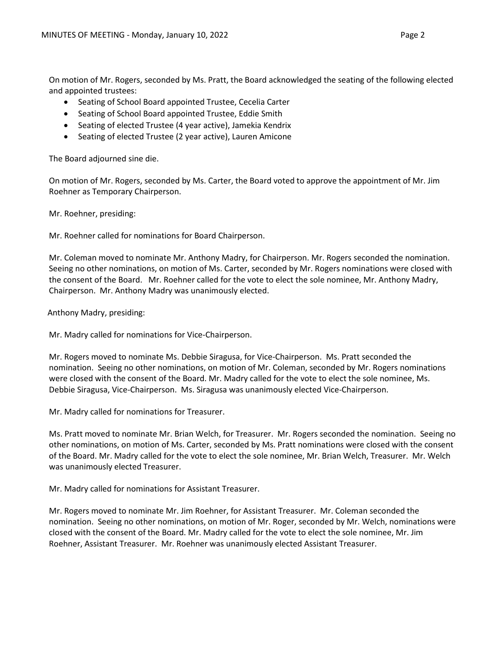On motion of Mr. Rogers, seconded by Ms. Pratt, the Board acknowledged the seating of the following elected and appointed trustees:

- Seating of School Board appointed Trustee, Cecelia Carter
- Seating of School Board appointed Trustee, Eddie Smith
- Seating of elected Trustee (4 year active), Jamekia Kendrix
- Seating of elected Trustee (2 year active), Lauren Amicone

The Board adjourned sine die.

On motion of Mr. Rogers, seconded by Ms. Carter, the Board voted to approve the appointment of Mr. Jim Roehner as Temporary Chairperson.

Mr. Roehner, presiding:

Mr. Roehner called for nominations for Board Chairperson.

Mr. Coleman moved to nominate Mr. Anthony Madry, for Chairperson. Mr. Rogers seconded the nomination. Seeing no other nominations, on motion of Ms. Carter, seconded by Mr. Rogers nominations were closed with the consent of the Board. Mr. Roehner called for the vote to elect the sole nominee, Mr. Anthony Madry, Chairperson. Mr. Anthony Madry was unanimously elected.

Anthony Madry, presiding:

Mr. Madry called for nominations for Vice-Chairperson.

Mr. Rogers moved to nominate Ms. Debbie Siragusa, for Vice-Chairperson. Ms. Pratt seconded the nomination. Seeing no other nominations, on motion of Mr. Coleman, seconded by Mr. Rogers nominations were closed with the consent of the Board. Mr. Madry called for the vote to elect the sole nominee, Ms. Debbie Siragusa, Vice-Chairperson. Ms. Siragusa was unanimously elected Vice-Chairperson.

Mr. Madry called for nominations for Treasurer.

Ms. Pratt moved to nominate Mr. Brian Welch, for Treasurer. Mr. Rogers seconded the nomination. Seeing no other nominations, on motion of Ms. Carter, seconded by Ms. Pratt nominations were closed with the consent of the Board. Mr. Madry called for the vote to elect the sole nominee, Mr. Brian Welch, Treasurer. Mr. Welch was unanimously elected Treasurer.

Mr. Madry called for nominations for Assistant Treasurer.

Mr. Rogers moved to nominate Mr. Jim Roehner, for Assistant Treasurer. Mr. Coleman seconded the nomination. Seeing no other nominations, on motion of Mr. Roger, seconded by Mr. Welch, nominations were closed with the consent of the Board. Mr. Madry called for the vote to elect the sole nominee, Mr. Jim Roehner, Assistant Treasurer. Mr. Roehner was unanimously elected Assistant Treasurer.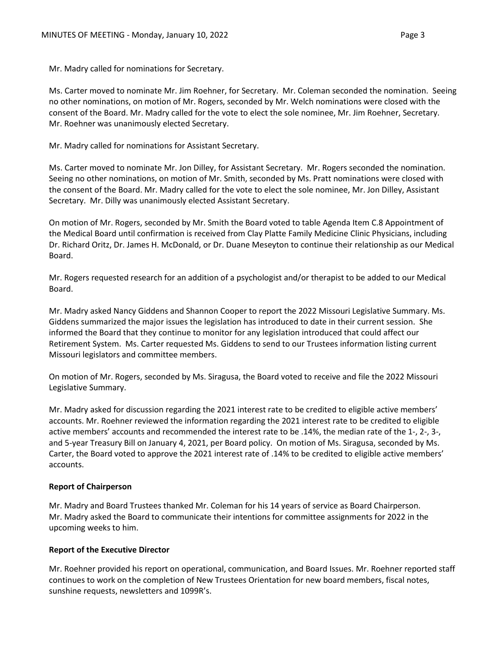Mr. Madry called for nominations for Secretary.

Ms. Carter moved to nominate Mr. Jim Roehner, for Secretary. Mr. Coleman seconded the nomination. Seeing no other nominations, on motion of Mr. Rogers, seconded by Mr. Welch nominations were closed with the consent of the Board. Mr. Madry called for the vote to elect the sole nominee, Mr. Jim Roehner, Secretary. Mr. Roehner was unanimously elected Secretary.

Mr. Madry called for nominations for Assistant Secretary.

Ms. Carter moved to nominate Mr. Jon Dilley, for Assistant Secretary. Mr. Rogers seconded the nomination. Seeing no other nominations, on motion of Mr. Smith, seconded by Ms. Pratt nominations were closed with the consent of the Board. Mr. Madry called for the vote to elect the sole nominee, Mr. Jon Dilley, Assistant Secretary. Mr. Dilly was unanimously elected Assistant Secretary.

On motion of Mr. Rogers, seconded by Mr. Smith the Board voted to table Agenda Item C.8 Appointment of the Medical Board until confirmation is received from Clay Platte Family Medicine Clinic Physicians, including Dr. Richard Oritz, Dr. James H. McDonald, or Dr. Duane Meseyton to continue their relationship as our Medical Board.

Mr. Rogers requested research for an addition of a psychologist and/or therapist to be added to our Medical Board.

Mr. Madry asked Nancy Giddens and Shannon Cooper to report the 2022 Missouri Legislative Summary. Ms. Giddens summarized the major issues the legislation has introduced to date in their current session. She informed the Board that they continue to monitor for any legislation introduced that could affect our Retirement System. Ms. Carter requested Ms. Giddens to send to our Trustees information listing current Missouri legislators and committee members.

On motion of Mr. Rogers, seconded by Ms. Siragusa, the Board voted to receive and file the 2022 Missouri Legislative Summary.

Mr. Madry asked for discussion regarding the 2021 interest rate to be credited to eligible active members' accounts. Mr. Roehner reviewed the information regarding the 2021 interest rate to be credited to eligible active members' accounts and recommended the interest rate to be .14%, the median rate of the 1-, 2-, 3-, and 5-year Treasury Bill on January 4, 2021, per Board policy. On motion of Ms. Siragusa, seconded by Ms. Carter, the Board voted to approve the 2021 interest rate of .14% to be credited to eligible active members' accounts.

## **Report of Chairperson**

Mr. Madry and Board Trustees thanked Mr. Coleman for his 14 years of service as Board Chairperson. Mr. Madry asked the Board to communicate their intentions for committee assignments for 2022 in the upcoming weeks to him.

## **Report of the Executive Director**

Mr. Roehner provided his report on operational, communication, and Board Issues. Mr. Roehner reported staff continues to work on the completion of New Trustees Orientation for new board members, fiscal notes, sunshine requests, newsletters and 1099R's.